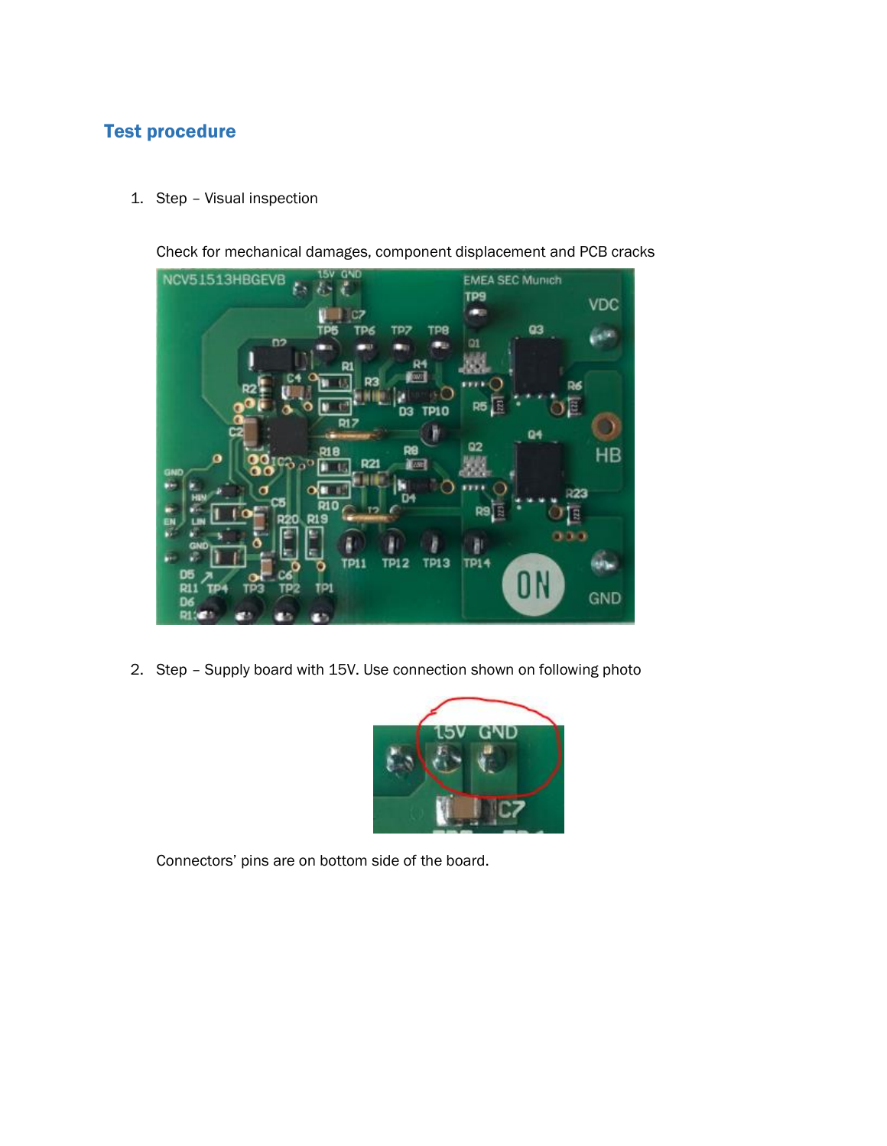## Test procedure

1. Step – Visual inspection

Check for mechanical damages, component displacement and PCB cracks



2. Step – Supply board with 15V. Use connection shown on following photo



Connectors' pins are on bottom side of the board.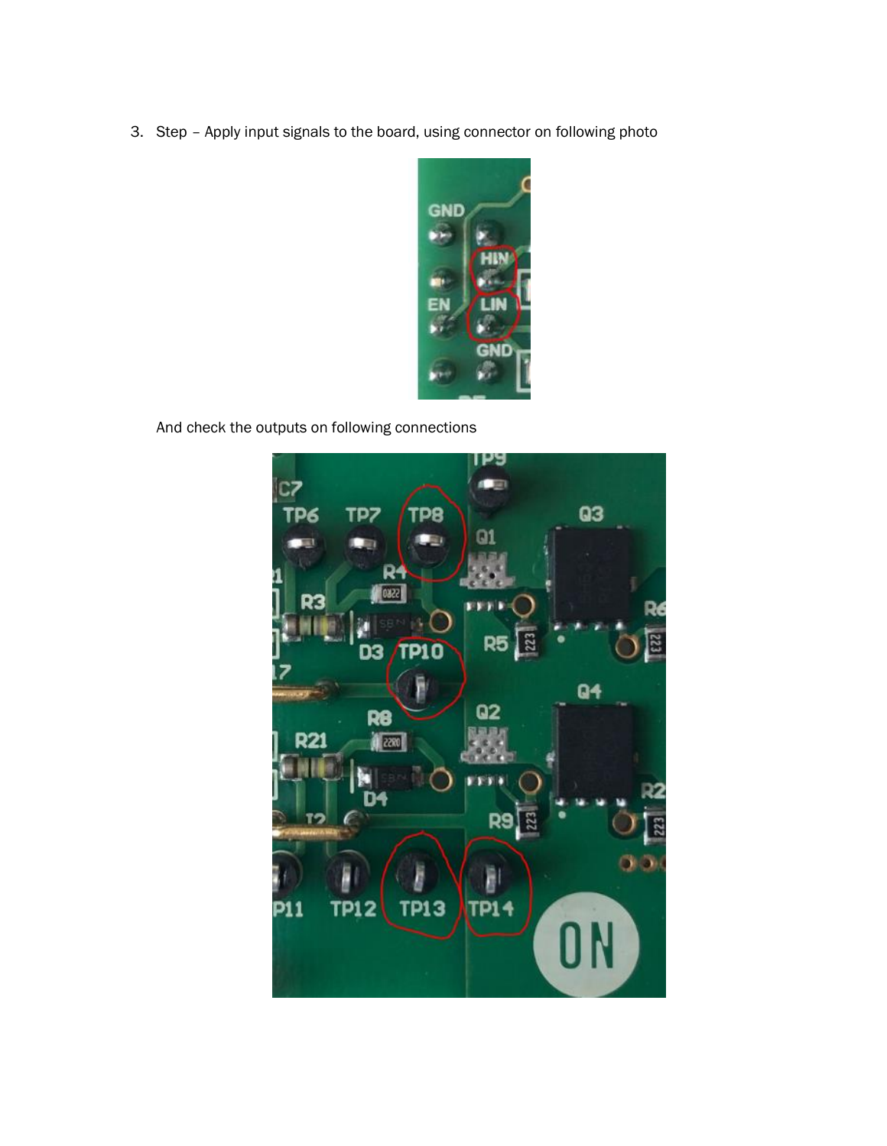3. Step – Apply input signals to the board, using connector on following photo



And check the outputs on following connections

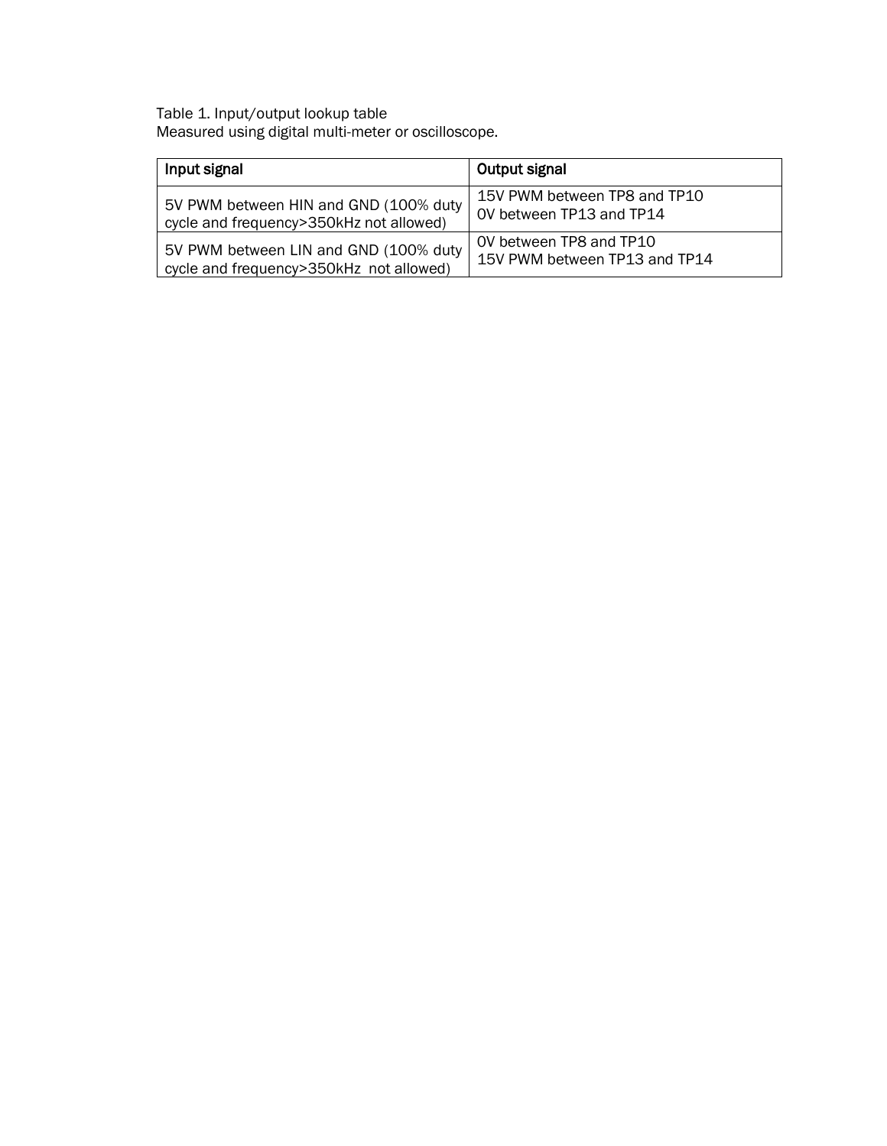Table 1. Input/output lookup table Measured using digital multi-meter or oscilloscope.

| Input signal                            | Output signal                 |
|-----------------------------------------|-------------------------------|
| 5V PWM between HIN and GND (100% duty   | 15V PWM between TP8 and TP10  |
| cycle and frequency>350kHz not allowed) | OV between TP13 and TP14      |
| 5V PWM between LIN and GND (100% duty   | OV between TP8 and TP10       |
| cycle and frequency>350kHz not allowed) | 15V PWM between TP13 and TP14 |